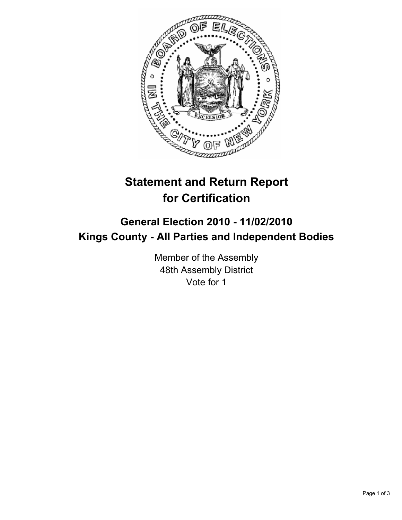

## **Statement and Return Report for Certification**

## **General Election 2010 - 11/02/2010 Kings County - All Parties and Independent Bodies**

Member of the Assembly 48th Assembly District Vote for 1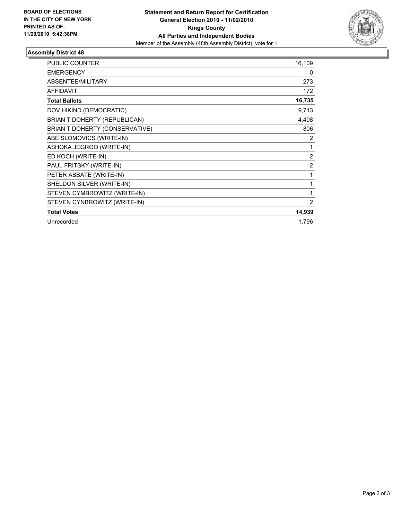

## **Assembly District 48**

| PUBLIC COUNTER                 | 16,109         |
|--------------------------------|----------------|
| <b>EMERGENCY</b>               | 0              |
| ABSENTEE/MILITARY              | 273            |
| <b>AFFIDAVIT</b>               | 172            |
| <b>Total Ballots</b>           | 16,735         |
| DOV HIKIND (DEMOCRATIC)        | 9,713          |
| BRIAN T DOHERTY (REPUBLICAN)   | 4,408          |
| BRIAN T DOHERTY (CONSERVATIVE) | 806            |
| ABE SLOMOVICS (WRITE-IN)       | 2              |
| ASHOKA JEGROO (WRITE-IN)       | 1              |
| ED KOCH (WRITE-IN)             | $\overline{2}$ |
| PAUL FRITSKY (WRITE-IN)        | 2              |
| PETER ABBATE (WRITE-IN)        | 1              |
| SHELDON SILVER (WRITE-IN)      | 1              |
| STEVEN CYMBROWITZ (WRITE-IN)   | 1              |
| STEVEN CYNBROWITZ (WRITE-IN)   | 2              |
| <b>Total Votes</b>             | 14,939         |
| Unrecorded                     | 1,796          |